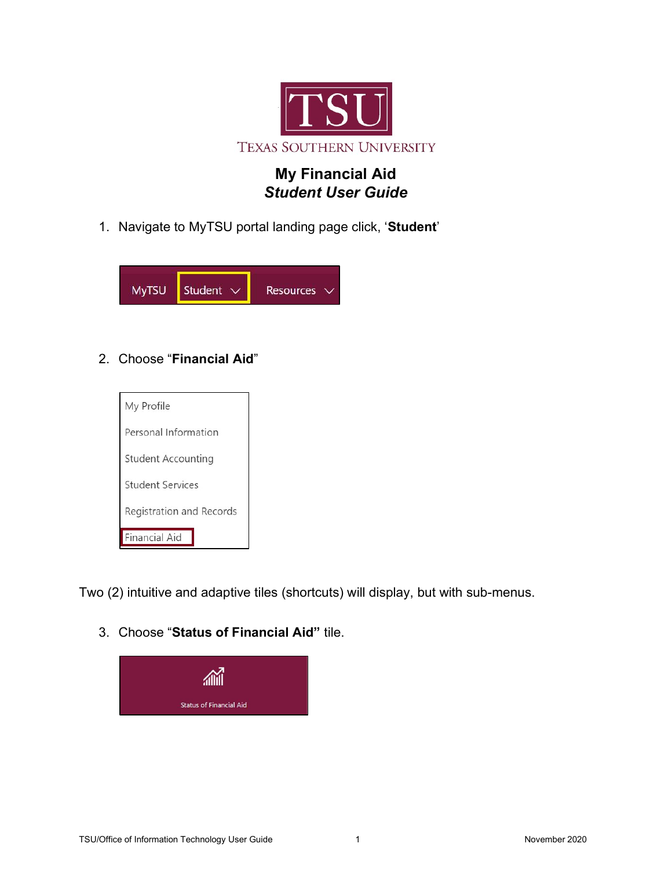

## My Financial Aid Student User Guide

1. Navigate to MyTSU portal landing page click, 'Student'



2. Choose "Financial Aid"



Two (2) intuitive and adaptive tiles (shortcuts) will display, but with sub-menus.

3. Choose "Status of Financial Aid" tile.

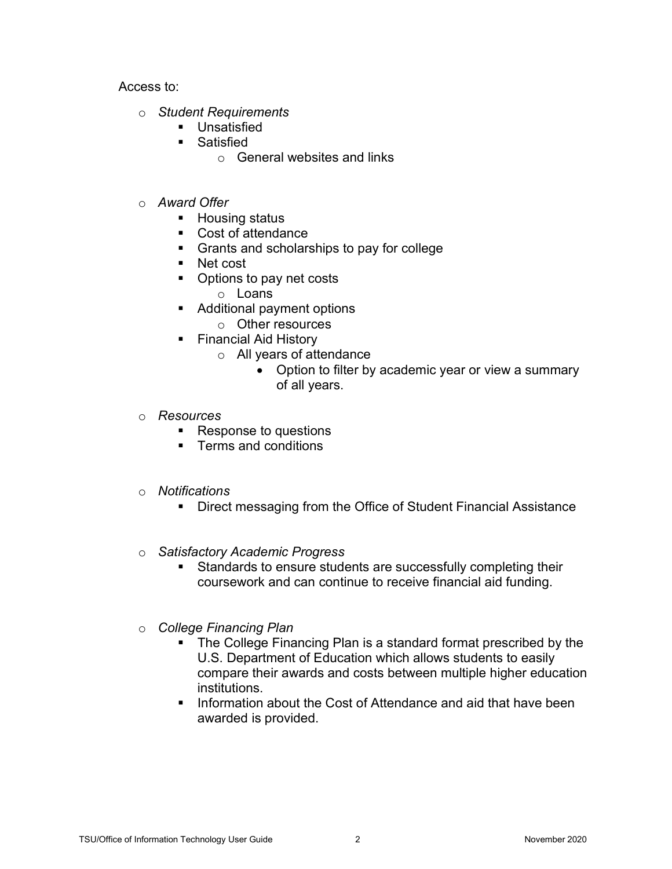Access to:

- o Student Requirements
	- **Unsatisfied**
	- **Satisfied** 
		- o General websites and links
- o Award Offer
	- **Housing status**
	- Cost of attendance
	- Grants and scholarships to pay for college
	- Net cost
	- Options to pay net costs
		- o Loans
	- Additional payment options
		- o Other resources
	- Financial Aid History
		- o All years of attendance
			- Option to filter by academic year or view a summary of all years.
- o Resources
	- Response to questions
	- **Terms and conditions**
- o Notifications
	- **Direct messaging from the Office of Student Financial Assistance**
- o Satisfactory Academic Progress
	- **Standards to ensure students are successfully completing their** coursework and can continue to receive financial aid funding.
- o College Financing Plan
	- The College Financing Plan is a standard format prescribed by the U.S. Department of Education which allows students to easily compare their awards and costs between multiple higher education institutions.
	- **Information about the Cost of Attendance and aid that have been** awarded is provided.